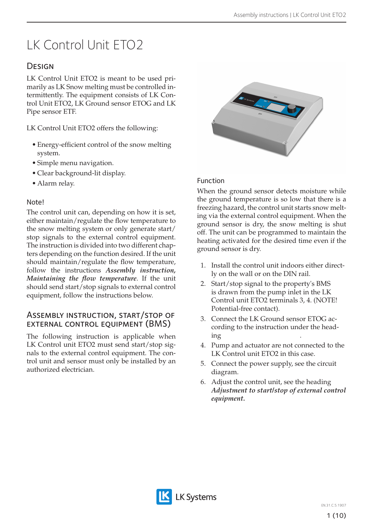# LK Control Unit ETO2

# **DESIGN**

LK Control Unit ETO2 is meant to be used primarily as LK Snow melting must be controlled intermittently. The equipment consists of LK Control Unit ETO2, LK Ground sensor ETOG and LK Pipe sensor ETF.

LK Control Unit ETO2 offers the following:

- Energy-efficient control of the snow melting system.
- Simple menu navigation.
- Clear background-lit display.
- Alarm relay.

### Note!

The control unit can, depending on how it is set, either maintain/regulate the flow temperature to the snow melting system or only generate start/ stop signals to the external control equipment. The instruction is divided into two different chapters depending on the function desired. If the unit should maintain/regulate the flow temperature, follow the instructions *Assembly instruction, Maintaining the flow temperature*. If the unit should send start/stop signals to external control equipment, follow the instructions below.

### Assembly instruction, start/stop of external control equipment (BMS)

The following instruction is applicable when LK Control unit ETO2 must send start/stop signals to the external control equipment. The control unit and sensor must only be installed by an authorized electrician.



### Function

When the ground sensor detects moisture while the ground temperature is so low that there is a freezing hazard, the control unit starts snow melting via the external control equipment. When the ground sensor is dry, the snow melting is shut off. The unit can be programmed to maintain the heating activated for the desired time even if the ground sensor is dry.

- 1. Install the control unit indoors either directly on the wall or on the DIN rail.
- 2. Start/stop signal to the property's BMS is drawn from the pump inlet in the LK Control unit ETO2 terminals 3, 4. (NOTE! Potential-free contact).
- 3. Connect the LK Ground sensor ETOG according to the instruction under the heading  $\qquad \qquad \ldots$
- 4. Pump and actuator are not connected to the LK Control unit ETO2 in this case.
- 5. Connect the power supply, see the circuit diagram.
- 6. Adjust the control unit, see the heading *Adjustment to start/stop of external control equipment.*

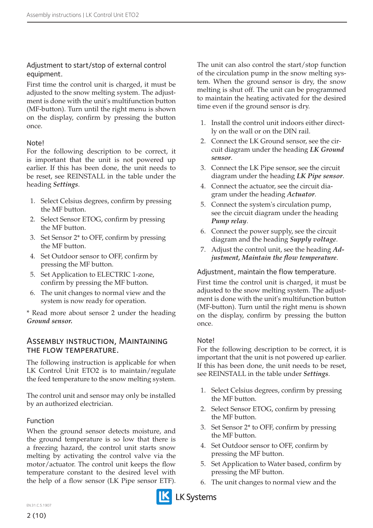#### Adjustment to start/stop of external control equipment.

First time the control unit is charged, it must be adjusted to the snow melting system. The adjustment is done with the unit's multifunction button (MF-button). Turn until the right menu is shown on the display, confirm by pressing the button once.

#### **Notel**

For the following description to be correct, it is important that the unit is not powered up earlier. If this has been done, the unit needs to be reset, see REINSTALL in the table under the heading *Settings*.

- 1. Select Celsius degrees, confirm by pressing the MF button.
- 2. Select Sensor ETOG, confirm by pressing the MF button.
- 3. Set Sensor 2\* to OFF, confirm by pressing the MF button.
- 4. Set Outdoor sensor to OFF, confirm by pressing the MF button.
- 5. Set Application to ELECTRIC 1-zone, confirm by pressing the MF button.
- 6. The unit changes to normal view and the system is now ready for operation.

\* Read more about sensor 2 under the heading *Ground sensor.*

#### Assembly instruction, Maintaining the flow temperature.

The following instruction is applicable for when LK Control Unit ETO2 is to maintain/regulate the feed temperature to the snow melting system.

The control unit and sensor may only be installed by an authorized electrician.

#### Function

When the ground sensor detects moisture, and the ground temperature is so low that there is a freezing hazard, the control unit starts snow melting by activating the control valve via the motor/actuator. The control unit keeps the flow temperature constant to the desired level with the help of a flow sensor (LK Pipe sensor ETF). The unit can also control the start/stop function of the circulation pump in the snow melting system. When the ground sensor is dry, the snow melting is shut off. The unit can be programmed to maintain the heating activated for the desired time even if the ground sensor is dry.

- 1. Install the control unit indoors either directly on the wall or on the DIN rail.
- 2. Connect the LK Ground sensor, see the circuit diagram under the heading *LK Ground sensor*.
- 3. Connect the LK Pipe sensor, see the circuit diagram under the heading *LK Pipe sensor*.
- 4. Connect the actuator, see the circuit diagram under the heading *Actuator*.
- 5. Connect the system's circulation pump, see the circuit diagram under the heading *Pump relay*.
- 6. Connect the power supply, see the circuit diagram and the heading *Supply voltage*.
- 7. Adjust the control unit, see the heading *Adjustment, Maintain the flow temperature*.

Adjustment, maintain the flow temperature.

First time the control unit is charged, it must be adjusted to the snow melting system. The adjustment is done with the unit's multifunction button (MF-button). Turn until the right menu is shown on the display, confirm by pressing the button once.

#### **Notel**

For the following description to be correct, it is important that the unit is not powered up earlier. If this has been done, the unit needs to be reset, see REINSTALL in the table under *Settings*.

- 1. Select Celsius degrees, confirm by pressing the MF button.
- 2. Select Sensor ETOG, confirm by pressing the MF button.
- 3. Set Sensor 2\* to OFF, confirm by pressing the MF button.
- 4. Set Outdoor sensor to OFF, confirm by pressing the MF button.
- 5. Set Application to Water based, confirm by pressing the MF button.
- 6. The unit changes to normal view and the

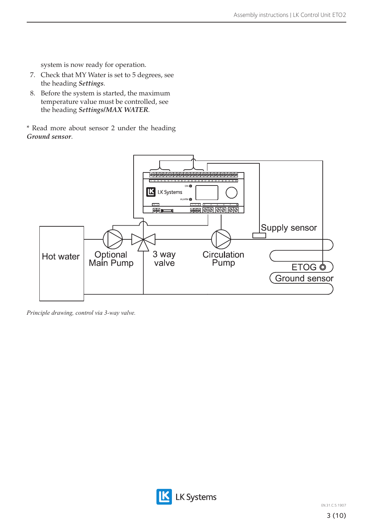system is now ready for operation.

- 7. Check that MY Water is set to 5 degrees, see the heading *Settings*.
- 8. Before the system is started, the maximum temperature value must be controlled, see the heading *Settings/MAX WATER.*

\* Read more about sensor 2 under the heading *Ground sensor*.



*Principle drawing, control via 3-way valve.*

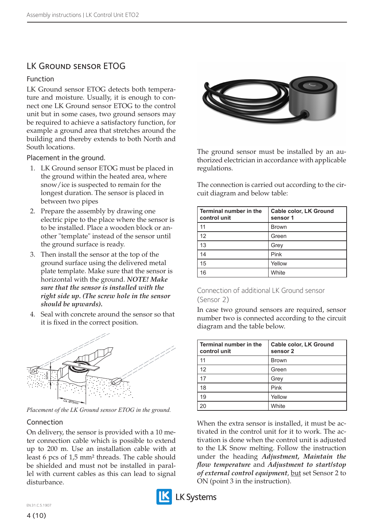# LK Ground sensor ETOG

#### Function

LK Ground sensor ETOG detects both temperature and moisture. Usually, it is enough to connect one LK Ground sensor ETOG to the control unit but in some cases, two ground sensors may be required to achieve a satisfactory function, for example a ground area that stretches around the building and thereby extends to both North and South locations.

Placement in the ground.

- 1. LK Ground sensor ETOG must be placed in the ground within the heated area, where snow/ice is suspected to remain for the longest duration. The sensor is placed in between two pipes
- 2. Prepare the assembly by drawing one electric pipe to the place where the sensor is to be installed. Place a wooden block or another "template" instead of the sensor until the ground surface is ready.
- 3. Then install the sensor at the top of the ground surface using the delivered metal plate template. Make sure that the sensor is horizontal with the ground. *NOTE! Make sure that the sensor is installed with the right side up. (The screw hole in the sensor should be upwards).*
- 4. Seal with concrete around the sensor so that it is fixed in the correct position.



*Placement of the LK Ground sensor ETOG in the ground.*

#### Connection

On delivery, the sensor is provided with a 10 meter connection cable which is possible to extend up to 200 m. Use an installation cable with at least 6 pcs of 1,5 mm² threads. The cable should be shielded and must not be installed in parallel with current cables as this can lead to signal disturbance.





The ground sensor must be installed by an authorized electrician in accordance with applicable regulations.

The connection is carried out according to the circuit diagram and below table:

| Terminal number in the<br>control unit | Cable color, LK Ground<br>sensor 1 |
|----------------------------------------|------------------------------------|
| 11                                     | <b>Brown</b>                       |
| 12                                     | Green                              |
| 13                                     | Grey                               |
| 14                                     | Pink                               |
| 15                                     | Yellow                             |
| 16                                     | White                              |

#### Connection of additional LK Ground sensor (Sensor 2)

In case two ground sensors are required, sensor number two is connected according to the circuit diagram and the table below.

| Terminal number in the<br>control unit | Cable color, LK Ground<br>sensor 2 |
|----------------------------------------|------------------------------------|
| 11                                     | <b>Brown</b>                       |
| 12                                     | Green                              |
| 17                                     | Grey                               |
| 18                                     | Pink                               |
| 19                                     | Yellow                             |
| 2 <sup>c</sup>                         | White                              |

When the extra sensor is installed, it must be activated in the control unit for it to work. The activation is done when the control unit is adjusted to the LK Snow melting. Follow the instruction under the heading *Adjustment, Maintain the flow temperature* and *Adjustment to start/stop of external control equipment*, but set Sensor 2 to ON (point 3 in the instruction).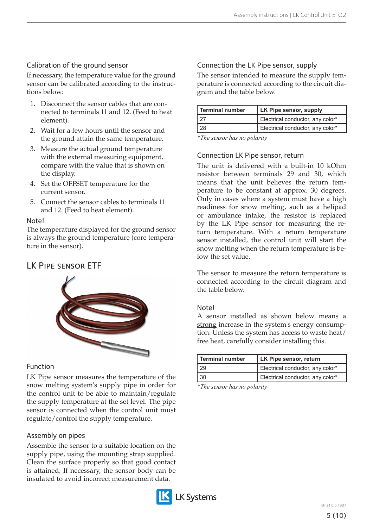## Calibration of the ground sensor

If necessary, the temperature value for the ground sensor can be calibrated according to the instructions below:

- 1. Disconnect the sensor cables that are connected to terminals 11 and 12. (Feed to heat element).
- 2. Wait for a few hours until the sensor and the ground attain the same temperature.
- 3. Measure the actual ground temperature with the external measuring equipment, compare with the value that is shown on the display.
- 4. Set the OFFSET temperature for the current sensor.
- 5. Connect the sensor cables to terminals 11 and 12. (Feed to heat element).

#### Note!

The temperature displayed for the ground sensor is always the ground temperature (core temperature in the sensor).

## LK Pipe sensor ETF



### Function

LK Pipe sensor measures the temperature of the snow melting system's supply pipe in order for the control unit to be able to maintain/regulate the supply temperature at the set level. The pipe sensor is connected when the control unit must regulate/control the supply temperature.

### Assembly on pipes

Assemble the sensor to a suitable location on the supply pipe, using the mounting strap supplied. Clean the surface properly so that good contact is attained. If necessary, the sensor body can be insulated to avoid incorrect measurement data.



### Connection the LK Pipe sensor, supply

The sensor intended to measure the supply temperature is connected according to the circuit diagram and the table below.

| l Terminal number | LK Pipe sensor, supply           |
|-------------------|----------------------------------|
|                   | Electrical conductor, any color* |
|                   | Electrical conductor, any color* |

*\*The sensor has no polarity*

#### Connection LK Pipe sensor, return

The unit is delivered with a built-in 10 kOhm resistor between terminals 29 and 30, which means that the unit believes the return temperature to be constant at approx. 30 degrees. Only in cases where a system must have a high readiness for snow melting, such as a helipad or ambulance intake, the resistor is replaced by the LK Pipe sensor for measuring the return temperature. With a return temperature sensor installed, the control unit will start the snow melting when the return temperature is below the set value.

The sensor to measure the return temperature is connected according to the circuit diagram and the table below.

#### Note!

A sensor installed as shown below means a strong increase in the system's energy consumption. Unless the system has access to waste heat/ free heat, carefully consider installing this.

| <b>Terminal number</b> | LK Pipe sensor, return           |
|------------------------|----------------------------------|
| 29                     | Electrical conductor, any color* |
| 30                     | Electrical conductor, any color* |

*\*The sensor has no polarity*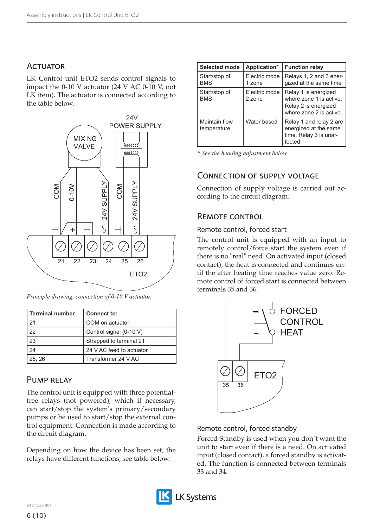## **ACTUATOR**

LK Control unit ETO2 sends control signals to impact the 0-10 V actuator (24 V AC 0-10 V, not LK item). The actuator is connected according to the table below.



*Principle drawing, connection of 0-10 V actuator.*

| <b>Terminal number</b> | <b>Connect to:</b>       |
|------------------------|--------------------------|
| 21                     | COM on actuator          |
| 22                     | Control signal (0-10 V)  |
| 23                     | Strapped to terminal 21  |
| 24                     | 24 V AC feed to actuator |
| 25, 26                 | Transformer 24 V AC      |

#### Pump relay

The control unit is equipped with three potentialfree relays (not powered), which if necessary, can start/stop the system's primary/secondary pumps or be used to start/stop the external control equipment. Connection is made according to the circuit diagram.

Depending on how the device has been set, the relays have different functions, see table below.

| <b>Selected mode</b>         | Application*            | <b>Function relay</b>                                                                              |
|------------------------------|-------------------------|----------------------------------------------------------------------------------------------------|
| Start/stop of<br><b>BMS</b>  | Electric mode<br>1 zone | Relays 1, 2 and 3 ener-<br>gized at the same time                                                  |
| Start/stop of<br><b>BMS</b>  | Electric mode<br>2 zone | Relay 1 is energized<br>where zone 1 is active.<br>Relay 2 is energized<br>where zone 2 is active. |
| Maintain flow<br>temperature | Water based             | Relay 1 and relay 2 are<br>energized at the same<br>time. Relay 3 is unaf-<br>fected.              |

*\* See the heading adjustment below* 

## Connection of supply voltage

Connection of supply voltage is carried out according to the circuit diagram.

## Remote control

#### Remote control, forced start

The control unit is equipped with an input to remotely control/force start the system even if there is no "real" need. On activated input (closed contact), the heat is connected and continues until the after heating time reaches value zero. Remote control of forced start is connected between terminals 35 and 36.



#### Remote control, forced standby

Forced Standby is used when you don´t want the unit to start even if there is a need. On activated input (closed contact), a forced standby is activated. The function is connected between terminals 33 and 34.

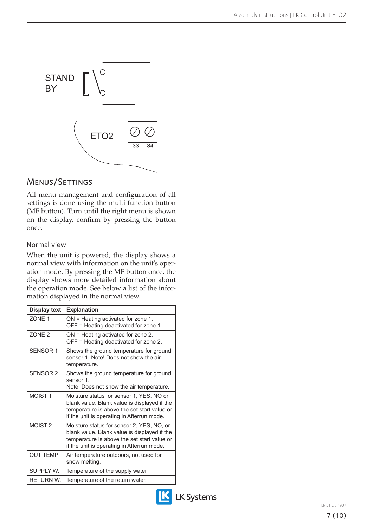

## Menus/Settings

All menu management and configuration of all settings is done using the multi-function button (MF button). Turn until the right menu is shown on the display, confirm by pressing the button once.

#### Normal view

When the unit is powered, the display shows a normal view with information on the unit's operation mode. By pressing the MF button once, the display shows more detailed information about the operation mode. See below a list of the information displayed in the normal view.

| <b>Display text</b> | <b>Explanation</b>                                                                                                                                                                     |
|---------------------|----------------------------------------------------------------------------------------------------------------------------------------------------------------------------------------|
| <b>70NF1</b>        | $ON =$ Heating activated for zone 1.<br>OFF = Heating deactivated for zone 1.                                                                                                          |
| ZONE <sub>2</sub>   | ON = Heating activated for zone 2.<br>OFF = Heating deactivated for zone 2.                                                                                                            |
| <b>SENSOR 1</b>     | Shows the ground temperature for ground<br>sensor 1. Note! Does not show the air<br>temperature.                                                                                       |
| SFNSOR <sub>2</sub> | Shows the ground temperature for ground<br>sensor 1.<br>Note! Does not show the air temperature.                                                                                       |
| MOIST <sub>1</sub>  | Moisture status for sensor 1, YES, NO or<br>blank value. Blank value is displayed if the<br>temperature is above the set start value or<br>if the unit is operating in Afterrun mode.  |
| MOIST <sub>2</sub>  | Moisture status for sensor 2, YES, NO, or<br>blank value. Blank value is displayed if the<br>temperature is above the set start value or<br>if the unit is operating in Afterrun mode. |
| <b>OUT TEMP</b>     | Air temperature outdoors, not used for<br>snow melting.                                                                                                                                |
| SUPPLY W.           | Temperature of the supply water                                                                                                                                                        |
| RETURN W.           | Temperature of the return water.                                                                                                                                                       |

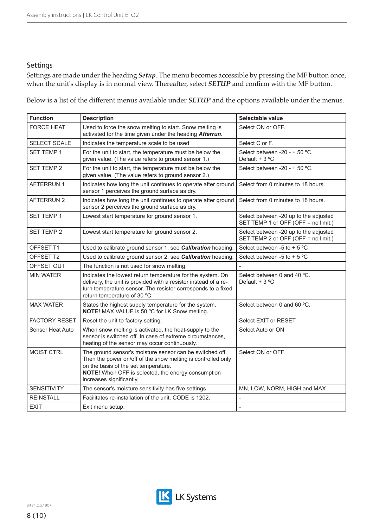#### Settings

Settings are made under the heading *Setup*. The menu becomes accessible by pressing the MF button once, when the unit's display is in normal view. Thereafter, select *SETUP* and confirm with the MF button.

Below is a list of the different menus available under *SETUP* and the options available under the menus.

| <b>Function</b>      | <b>Description</b>                                                                                                                                                                                                                                 | Selectable value                                                             |  |
|----------------------|----------------------------------------------------------------------------------------------------------------------------------------------------------------------------------------------------------------------------------------------------|------------------------------------------------------------------------------|--|
| <b>FORCE HEAT</b>    | Used to force the snow melting to start. Snow melting is<br>activated for the time given under the heading Afterrun.                                                                                                                               | Select ON or OFF.                                                            |  |
| SELECT SCALE         | Indicates the temperature scale to be used                                                                                                                                                                                                         | Select C or F.                                                               |  |
| <b>SET TEMP 1</b>    | For the unit to start, the temperature must be below the<br>given value. (The value refers to ground sensor 1.)                                                                                                                                    | Select between -20 - + 50 °C.<br>Default + $3^{\circ}$ C                     |  |
| <b>SET TEMP 2</b>    | For the unit to start, the temperature must be below the<br>given value. (The value refers to ground sensor 2.)                                                                                                                                    | Select between -20 - + 50 °C.                                                |  |
| <b>AFTERRUN1</b>     | Indicates how long the unit continues to operate after ground<br>sensor 1 perceives the ground surface as dry.                                                                                                                                     | Select from 0 minutes to 18 hours.                                           |  |
| <b>AFTERRUN 2</b>    | Indicates how long the unit continues to operate after ground<br>sensor 2 perceives the ground surface as dry.                                                                                                                                     | Select from 0 minutes to 18 hours.                                           |  |
| SET TEMP 1           | Lowest start temperature for ground sensor 1.                                                                                                                                                                                                      | Select between -20 up to the adjusted<br>SET TEMP 1 or OFF (OFF = no limit.) |  |
| <b>SET TEMP 2</b>    | Lowest start temperature for ground sensor 2.                                                                                                                                                                                                      | Select between -20 up to the adjusted<br>SET TEMP 2 or OFF (OFF = no limit.) |  |
| OFFSET T1            | Used to calibrate ground sensor 1, see Calibration heading.                                                                                                                                                                                        | Select between -5 to + 5 $^{\circ}$ C                                        |  |
| OFFSET T2            | Used to calibrate ground sensor 2, see Calibration heading.                                                                                                                                                                                        | Select between -5 to + 5 $^{\circ}$ C                                        |  |
| OFFSET OUT           | The function is not used for snow melting.                                                                                                                                                                                                         | $\overline{a}$                                                               |  |
| <b>MIN WATER</b>     | Indicates the lowest return temperature for the system. On<br>delivery, the unit is provided with a resistor instead of a re-<br>turn temperature sensor. The resistor corresponds to a fixed<br>return temperature of 30 °C.                      | Select between 0 and 40 °C.<br>Default + $3^{\circ}$ C                       |  |
| <b>MAX WATER</b>     | States the highest supply temperature for the system.<br>NOTE! MAX VALUE is 50 °C for LK Snow melting.                                                                                                                                             | Select between 0 and 60 °C.                                                  |  |
| <b>FACTORY RESET</b> | Reset the unit to factory setting.                                                                                                                                                                                                                 | Select EXIT or RESET                                                         |  |
| Sensor Heat Auto     | When snow melting is activated, the heat-supply to the<br>sensor is switched off. In case of extreme circumstances,<br>heating of the sensor may occur continuously.                                                                               | Select Auto or ON                                                            |  |
| MOIST CTRL           | The ground sensor's moisture sensor can be switched off.<br>Then the power on/off of the snow melting is controlled only<br>on the basis of the set temperature.<br>NOTE! When OFF is selected, the energy consumption<br>increases significantly. | Select ON or OFF                                                             |  |
| <b>SENSITIVITY</b>   | The sensor's moisture sensitivity has five settings.                                                                                                                                                                                               | MN, LOW, NORM, HIGH and MAX                                                  |  |
| <b>REINSTALL</b>     | Facilitates re-installation of the unit. CODE is 1202.                                                                                                                                                                                             |                                                                              |  |
| <b>EXIT</b>          | Exit menu setup.                                                                                                                                                                                                                                   |                                                                              |  |

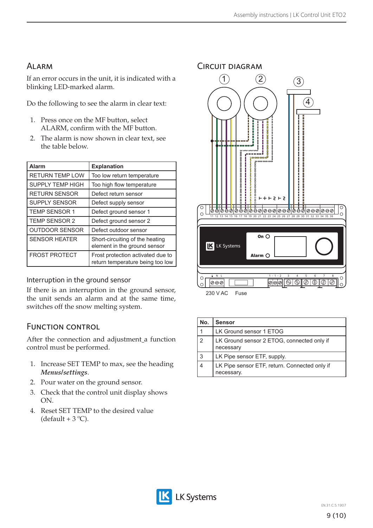# Alarm

If an error occurs in the unit, it is indicated with a blinking LED-marked alarm.

Do the following to see the alarm in clear text:

- 1. Press once on the MF button, select ALARM, confirm with the MF button.
- 2. The alarm is now shown in clear text, see the table below.

| <b>Alarm</b>            | <b>Explanation</b>                                                    |
|-------------------------|-----------------------------------------------------------------------|
| <b>RETURN TEMP LOW</b>  | Too low return temperature                                            |
| <b>SUPPLY TEMP HIGH</b> | Too high flow temperature                                             |
| <b>RETURN SENSOR</b>    | Defect return sensor                                                  |
| <b>SUPPLY SENSOR</b>    | Defect supply sensor                                                  |
| <b>TEMP SENSOR 1</b>    | Defect ground sensor 1                                                |
| <b>TEMP SENSOR 2</b>    | Defect ground sensor 2                                                |
| <b>OUTDOOR SENSOR</b>   | Defect outdoor sensor                                                 |
| <b>SENSOR HEATER</b>    | Short-circuiting of the heating<br>element in the ground sensor       |
| <b>FROST PROTECT</b>    | Frost protection activated due to<br>return temperature being too low |

### Interruption in the ground sensor

If there is an interruption in the ground sensor, the unit sends an alarm and at the same time, switches off the snow melting system.

# FUNCTION CONTROL

After the connection and adjustment a function control must be performed.

- 1. Increase SET TEMP to max, see the heading *Menus/settings*.
- 2. Pour water on the ground sensor.
- 3. Check that the control unit display shows ON.
- 4. Reset SET TEMP to the desired value (default +  $3^{\circ}$ C).



| No.           | <b>Sensor</b>                                               |
|---------------|-------------------------------------------------------------|
|               | LK Ground sensor 1 ETOG                                     |
| $\mathcal{P}$ | LK Ground sensor 2 ETOG, connected only if<br>necessary     |
| 3             | LK Pipe sensor ETF, supply.                                 |
|               | LK Pipe sensor ETF, return. Connected only if<br>necessary. |